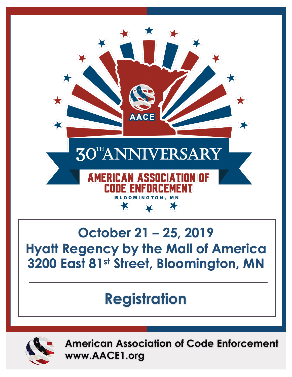

## October 21 - 25, 2019 **Hyatt Regency by the Mall of America** 3200 East 81st Street, Bloomington, MN

## **Registration**



**American Association of Code Enforcement www.AACE1.org**